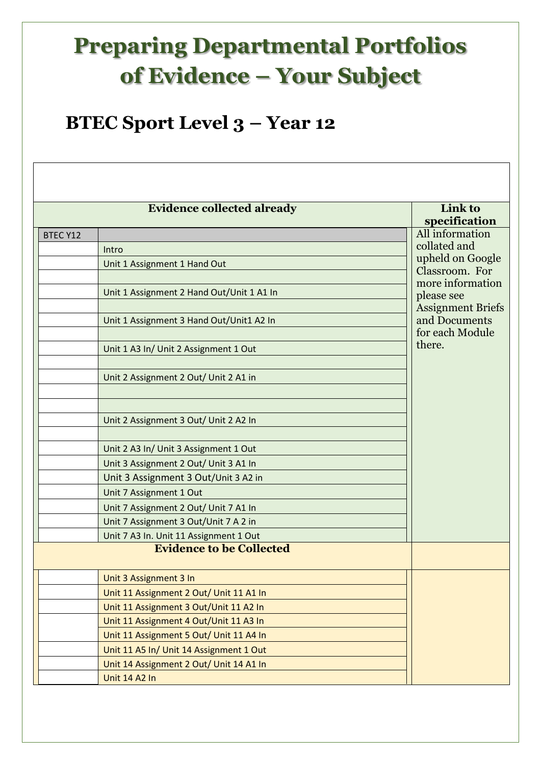## **Preparing Departmental Portfolios of Evidence – Your Subject**

## **BTEC Sport Level 3 – Year 12**

|                 | <b>Evidence collected already</b>         | Link to                                   |  |  |
|-----------------|-------------------------------------------|-------------------------------------------|--|--|
| <b>BTEC Y12</b> |                                           | specification<br>All information          |  |  |
|                 | Intro                                     | collated and                              |  |  |
|                 | Unit 1 Assignment 1 Hand Out              | upheld on Google                          |  |  |
|                 |                                           | Classroom. For                            |  |  |
|                 | Unit 1 Assignment 2 Hand Out/Unit 1 A1 In | more information                          |  |  |
|                 |                                           | please see                                |  |  |
|                 | Unit 1 Assignment 3 Hand Out/Unit1 A2 In  | <b>Assignment Briefs</b><br>and Documents |  |  |
|                 |                                           | for each Module                           |  |  |
|                 | Unit 1 A3 In/ Unit 2 Assignment 1 Out     | there.                                    |  |  |
|                 |                                           |                                           |  |  |
|                 | Unit 2 Assignment 2 Out/ Unit 2 A1 in     |                                           |  |  |
|                 |                                           |                                           |  |  |
|                 |                                           |                                           |  |  |
|                 | Unit 2 Assignment 3 Out/ Unit 2 A2 In     |                                           |  |  |
|                 |                                           |                                           |  |  |
|                 | Unit 2 A3 In/ Unit 3 Assignment 1 Out     |                                           |  |  |
|                 | Unit 3 Assignment 2 Out/ Unit 3 A1 In     |                                           |  |  |
|                 | Unit 3 Assignment 3 Out/Unit 3 A2 in      |                                           |  |  |
|                 | Unit 7 Assignment 1 Out                   |                                           |  |  |
|                 | Unit 7 Assignment 2 Out/ Unit 7 A1 In     |                                           |  |  |
|                 | Unit 7 Assignment 3 Out/Unit 7 A 2 in     |                                           |  |  |
|                 | Unit 7 A3 In. Unit 11 Assignment 1 Out    |                                           |  |  |
|                 | <b>Evidence to be Collected</b>           |                                           |  |  |
|                 | Unit 3 Assignment 3 In                    |                                           |  |  |
|                 | Unit 11 Assignment 2 Out/ Unit 11 A1 In   |                                           |  |  |
|                 | Unit 11 Assignment 3 Out/Unit 11 A2 In    |                                           |  |  |
|                 | Unit 11 Assignment 4 Out/Unit 11 A3 In    |                                           |  |  |
|                 | Unit 11 Assignment 5 Out/ Unit 11 A4 In   |                                           |  |  |
|                 | Unit 11 A5 In/ Unit 14 Assignment 1 Out   |                                           |  |  |
|                 | Unit 14 Assignment 2 Out/ Unit 14 A1 In   |                                           |  |  |
|                 | Unit 14 A2 In                             |                                           |  |  |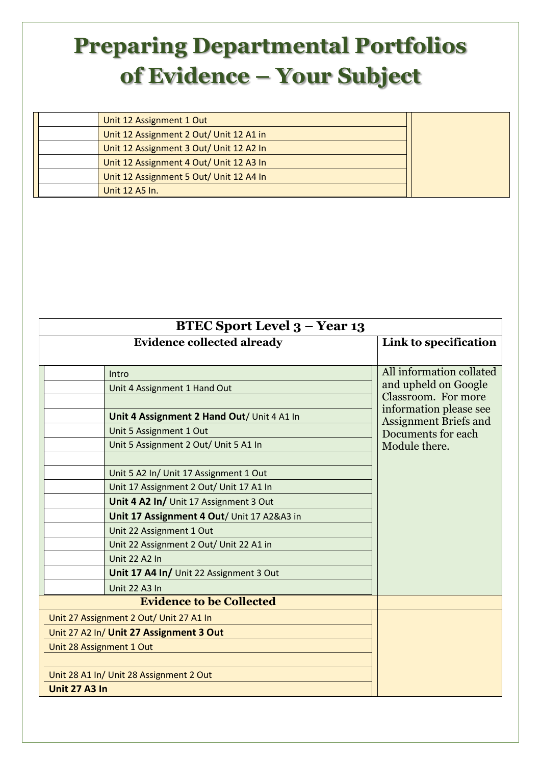## **Preparing Departmental Portfolios of Evidence – Your Subject**

|  | Unit 12 Assignment 1 Out                |  |
|--|-----------------------------------------|--|
|  | Unit 12 Assignment 2 Out/ Unit 12 A1 in |  |
|  | Unit 12 Assignment 3 Out/ Unit 12 A2 In |  |
|  | Unit 12 Assignment 4 Out/ Unit 12 A3 In |  |
|  | Unit 12 Assignment 5 Out/ Unit 12 A4 In |  |
|  | Unit 12 A5 In.                          |  |

| BTEC Sport Level 3 – Year 13 |                                            |                                             |  |  |
|------------------------------|--------------------------------------------|---------------------------------------------|--|--|
|                              | <b>Evidence collected already</b>          | Link to specification                       |  |  |
|                              |                                            |                                             |  |  |
|                              | Intro                                      | All information collated                    |  |  |
|                              | Unit 4 Assignment 1 Hand Out               | and upheld on Google<br>Classroom. For more |  |  |
|                              |                                            | information please see                      |  |  |
|                              | Unit 4 Assignment 2 Hand Out/ Unit 4 A1 In | <b>Assignment Briefs and</b>                |  |  |
|                              | Unit 5 Assignment 1 Out                    | Documents for each                          |  |  |
|                              | Unit 5 Assignment 2 Out/ Unit 5 A1 In      | Module there.                               |  |  |
|                              |                                            |                                             |  |  |
|                              | Unit 5 A2 In/ Unit 17 Assignment 1 Out     |                                             |  |  |
|                              | Unit 17 Assignment 2 Out/ Unit 17 A1 In    |                                             |  |  |
|                              | Unit 4 A2 In/ Unit 17 Assignment 3 Out     |                                             |  |  |
|                              | Unit 17 Assignment 4 Out/ Unit 17 A2&A3 in |                                             |  |  |
|                              | Unit 22 Assignment 1 Out                   |                                             |  |  |
|                              | Unit 22 Assignment 2 Out/ Unit 22 A1 in    |                                             |  |  |
|                              | <b>Unit 22 A2 In</b>                       |                                             |  |  |
|                              | Unit 17 A4 In/ Unit 22 Assignment 3 Out    |                                             |  |  |
|                              | <b>Unit 22 A3 In</b>                       |                                             |  |  |
|                              | <b>Evidence to be Collected</b>            |                                             |  |  |
|                              | Unit 27 Assignment 2 Out/ Unit 27 A1 In    |                                             |  |  |
|                              | Unit 27 A2 In/ Unit 27 Assignment 3 Out    |                                             |  |  |
| Unit 28 Assignment 1 Out     |                                            |                                             |  |  |
|                              |                                            |                                             |  |  |
|                              | Unit 28 A1 In/ Unit 28 Assignment 2 Out    |                                             |  |  |
| Unit 27 A3 In                |                                            |                                             |  |  |